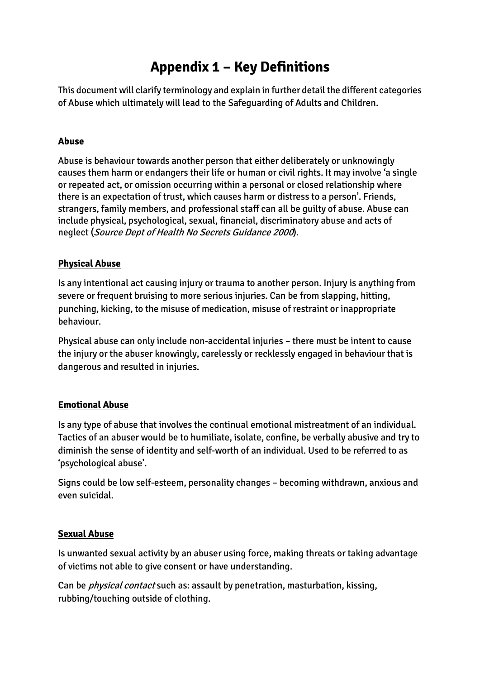# **Appendix 1 – Key Definitions**

This document will clarify terminology and explain in further detail the different categories of Abuse which ultimately will lead to the Safeguarding of Adults and Children.

## **Abuse**

Abuse is behaviour towards another person that either deliberately or unknowingly causes them harm or endangers their life or human or civil rights. It may involve 'a single or repeated act, or omission occurring within a personal or closed relationship where there is an expectation of trust, which causes harm or distress to a person'. Friends, strangers, family members, and professional staff can all be guilty of abuse. Abuse can include physical, psychological, sexual, financial, discriminatory abuse and acts of neglect (Source Dept of Health No Secrets Guidance <sup>2000</sup>).

## **Physical Abuse**

Is any intentional act causing injury or trauma to another person. Injury is anything from severe or frequent bruising to more serious injuries. Can be from slapping, hitting, punching, kicking, to the misuse of medication, misuse of restraint or inappropriate behaviour.

Physical abuse can only include non-accidental injuries – there must be intent to cause the injury or the abuser knowingly, carelessly or recklessly engaged in behaviour that is dangerous and resulted in injuries.

### **Emotional Abuse**

Is any type of abuse that involves the continual emotional mistreatment of an individual. Tactics of an abuser would be to humiliate, isolate, confine, be verbally abusive and try to diminish the sense of identity and self-worth of an individual. Used to be referred to as 'psychological abuse'.

Signs could be low self-esteem, personality changes – becoming withdrawn, anxious and even suicidal.

### **Sexual Abuse**

Is unwanted sexual activity by an abuser using force, making threats or taking advantage of victims not able to give consent or have understanding.

Can be physical contact such as: assault by penetration, masturbation, kissing, rubbing/touching outside of clothing.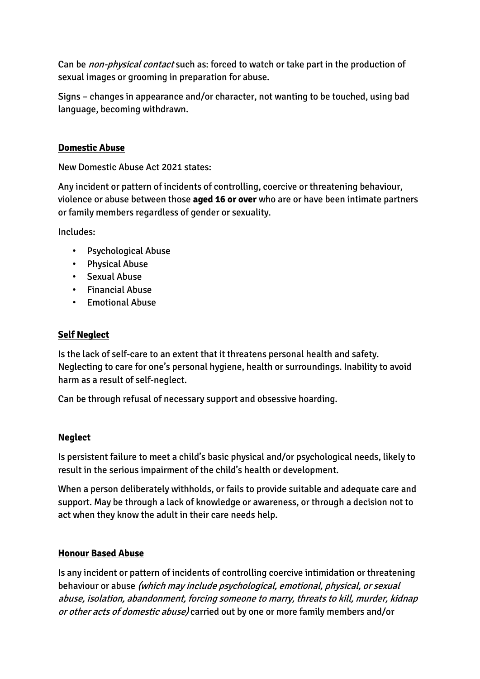Can be *non-physical contact* such as: forced to watch or take part in the production of sexual images or grooming in preparation for abuse.

Signs – changes in appearance and/or character, not wanting to be touched, using bad language, becoming withdrawn.

## **Domestic Abuse**

New Domestic Abuse Act 2021 states:

Any incident or pattern of incidents of controlling, coercive or threatening behaviour, violence or abuse between those **aged 16 or over** who are or have been intimate partners or family members regardless of gender or sexuality.

Includes:

- Psychological Abuse
- Physical Abuse
- Sexual Abuse
- Financial Abuse
- Emotional Abuse

### **Self Neglect**

Is the lack of self-care to an extent that it threatens personal health and safety. Neglecting to care for one's personal hygiene, health or surroundings. Inability to avoid harm as a result of self-neglect.

Can be through refusal of necessary support and obsessive hoarding.

### **Neglect**

Is persistent failure to meet a child's basic physical and/or psychological needs, likely to result in the serious impairment of the child's health or development.

When a person deliberately withholds, or fails to provide suitable and adequate care and support. May be through a lack of knowledge or awareness, or through a decision not to act when they know the adult in their care needs help.

### **Honour Based Abuse**

Is any incident or pattern of incidents of controlling coercive intimidation or threatening behaviour or abuse (which may include psychological, emotional, physical, or sexual abuse, isolation, abandonment, forcing someone to marry, threats to kill, murder, kidnap or other acts of domestic abuse) carried out by one or more family members and/or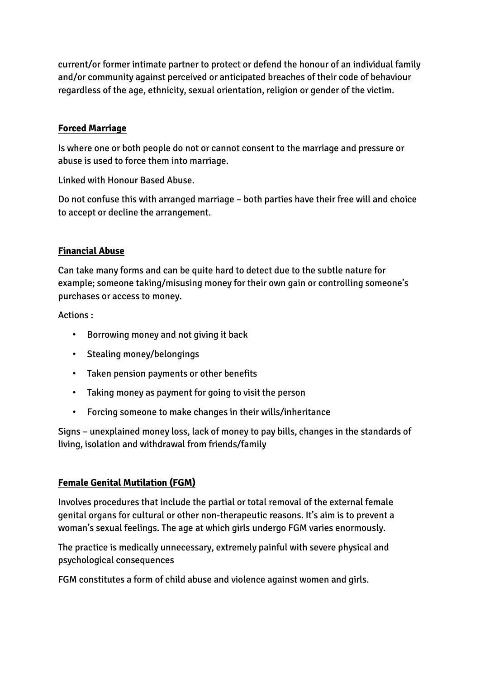current/or former intimate partner to protect or defend the honour of an individual family and/or community against perceived or anticipated breaches of their code of behaviour regardless of the age, ethnicity, sexual orientation, religion or gender of the victim.

## **Forced Marriage**

Is where one or both people do not or cannot consent to the marriage and pressure or abuse is used to force them into marriage.

Linked with Honour Based Abuse.

Do not confuse this with arranged marriage – both parties have their free will and choice to accept or decline the arrangement.

## **Financial Abuse**

Can take many forms and can be quite hard to detect due to the subtle nature for example; someone taking/misusing money for their own gain or controlling someone's purchases or access to money.

Actions :

- Borrowing money and not giving it back
- Stealing money/belongings
- Taken pension payments or other benefits
- Taking money as payment for going to visit the person
- Forcing someone to make changes in their wills/inheritance

Signs – unexplained money loss, lack of money to pay bills, changes in the standards of living, isolation and withdrawal from friends/family

# **Female Genital Mutilation (FGM)**

Involves procedures that include the partial or total removal of the external female genital organs for cultural or other non-therapeutic reasons. It's aim is to prevent a woman's sexual feelings. The age at which girls undergo FGM varies enormously.

The practice is medically unnecessary, extremely painful with severe physical and psychological consequences

FGM constitutes a form of child abuse and violence against women and girls.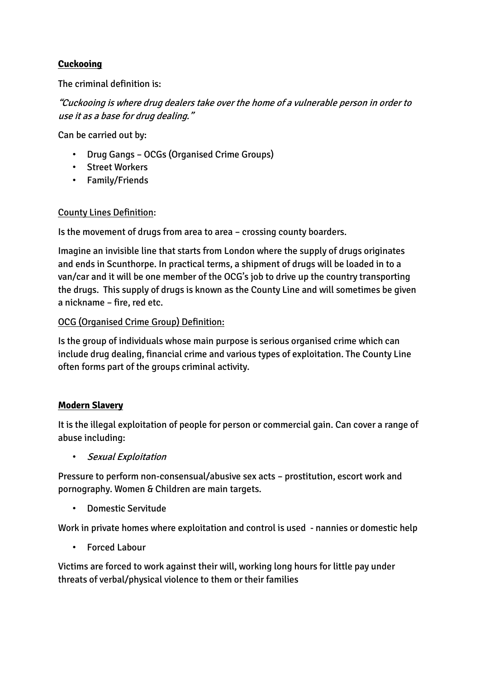# **Cuckooing**

The criminal definition is:

"Cuckooing is where drug dealers take over the home of a vulnerable person in order to use it as a base for drug dealing."

Can be carried out by:

- Drug Gangs OCGs (Organised Crime Groups)
- Street Workers
- Family/Friends

## County Lines Definition:

Is the movement of drugs from area to area – crossing county boarders.

Imagine an invisible line that starts from London where the supply of drugs originates and ends in Scunthorpe. In practical terms, a shipment of drugs will be loaded in to a van/car and it will be one member of the OCG's job to drive up the country transporting the drugs. This supply of drugs is known as the County Line and will sometimes be given a nickname – fire, red etc.

# OCG (Organised Crime Group) Definition:

Is the group of individuals whose main purpose is serious organised crime which can include drug dealing, financial crime and various types of exploitation. The County Line often forms part of the groups criminal activity.

### **Modern Slavery**

It is the illegal exploitation of people for person or commercial gain. Can cover a range of abuse including:

• Sexual Exploitation

Pressure to perform non-consensual/abusive sex acts – prostitution, escort work and pornography. Women & Children are main targets.

• Domestic Servitude

Work in private homes where exploitation and control is used - nannies or domestic help

• Forced Labour

Victims are forced to work against their will, working long hours for little pay under threats of verbal/physical violence to them or their families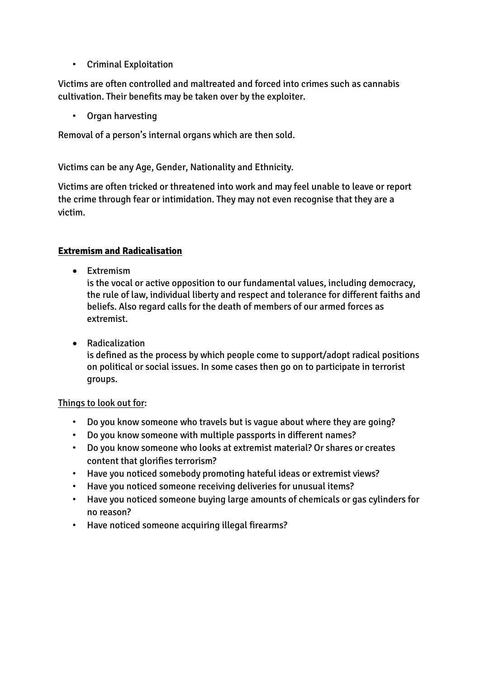• Criminal Exploitation

Victims are often controlled and maltreated and forced into crimes such as cannabis cultivation. Their benefits may be taken over by the exploiter.

• Organ harvesting

Removal of a person's internal organs which are then sold.

Victims can be any Age, Gender, Nationality and Ethnicity.

Victims are often tricked or threatened into work and may feel unable to leave or report the crime through fear or intimidation. They may not even recognise that they are a victim.

# **Extremism and Radicalisation**

• Extremism

is the vocal or active opposition to our fundamental values, including democracy, the rule of law, individual liberty and respect and tolerance for different faiths and beliefs. Also regard calls for the death of members of our armed forces as extremist.

 Radicalization is defined as the process by which people come to support/adopt radical positions on political or social issues. In some cases then go on to participate in terrorist groups.

# Things to look out for:

- Do you know someone who travels but is vague about where they are going?
- Do you know someone with multiple passports in different names?
- Do you know someone who looks at extremist material? Or shares or creates content that glorifies terrorism?
- Have you noticed somebody promoting hateful ideas or extremist views?
- Have you noticed someone receiving deliveries for unusual items?
- Have you noticed someone buying large amounts of chemicals or gas cylinders for no reason?
- Have noticed someone acquiring illegal firearms?